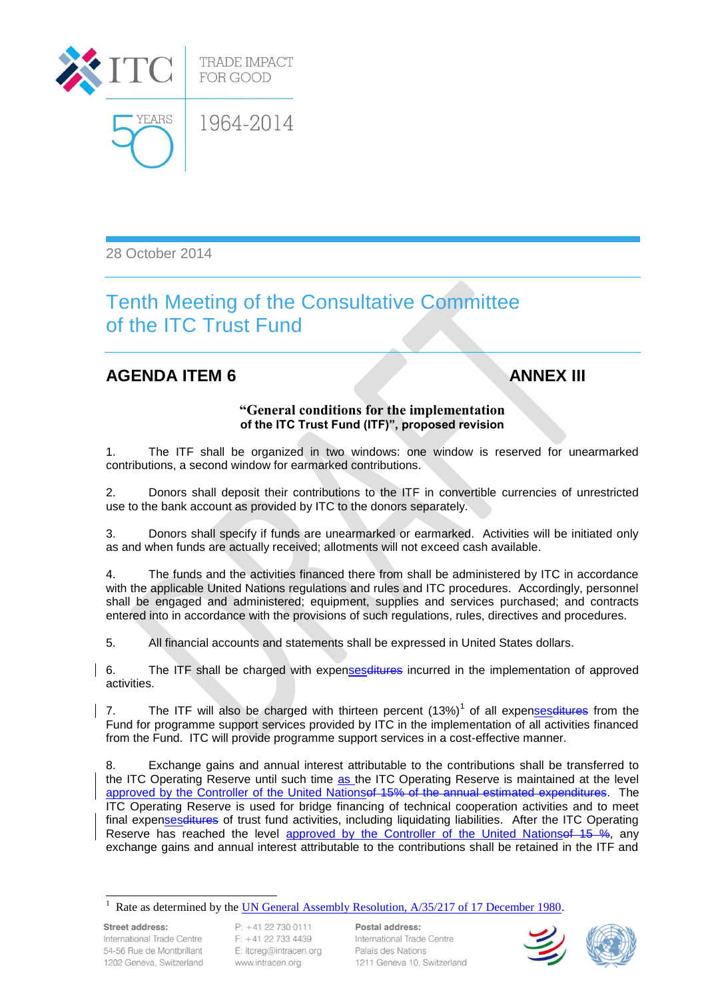

28 October 2014

## Tenth Meeting of the Consultative Committee of the ITC Trust Fund

## **AGENDA ITEM 6 ANNEX III**

## **"General conditions for the implementation of the ITC Trust Fund (ITF)", proposed revision**

1. The ITF shall be organized in two windows: one window is reserved for unearmarked contributions, a second window for earmarked contributions.

2. Donors shall deposit their contributions to the ITF in convertible currencies of unrestricted use to the bank account as provided by ITC to the donors separately.

3. Donors shall specify if funds are unearmarked or earmarked. Activities will be initiated only as and when funds are actually received; allotments will not exceed cash available.

4. The funds and the activities financed there from shall be administered by ITC in accordance with the applicable United Nations regulations and rules and ITC procedures. Accordingly, personnel shall be engaged and administered; equipment, supplies and services purchased; and contracts entered into in accordance with the provisions of such regulations, rules, directives and procedures.

5. All financial accounts and statements shall be expressed in United States dollars.

6. The ITF shall be charged with expensesditures incurred in the implementation of approved activities.

7. The ITF will also be charged with thirteen percent (13%)<sup>1</sup> of all expenses ditures from the Fund for programme support services provided by ITC in the implementation of all activities financed from the Fund. ITC will provide programme support services in a cost-effective manner.

8. Exchange gains and annual interest attributable to the contributions shall be transferred to the ITC Operating Reserve until such time as the ITC Operating Reserve is maintained at the level approved by the Controller of the United Nationsof 15% of the annual estimated expenditures. The ITC Operating Reserve is used for bridge financing of technical cooperation activities and to meet final expensesditures of trust fund activities, including liquidating liabilities. After the ITC Operating Reserve has reached the level approved by the Controller of the United Nations ef 15 %, any exchange gains and annual interest attributable to the contributions shall be retained in the ITF and

<sup>1</sup> Rate as determined by the [UN General Assembly Resolution, A/35/217 of 17 December 1980.](http://www.intracen.org/ccgtf/36_Meeting/UN%20GA%20Res_a35r217e.pdf)

Street address: International Trade Centre 54-56 Rue de Montbrillant 1202 Geneva, Switzerland

l

 $P$  +41 22 730 0111 F: +41 22 733 4439 E: itcreg@intracen.org www.intracen.org

Postal address: International Trade Centre Palais des Nations 1211 Geneva 10, Switzerland